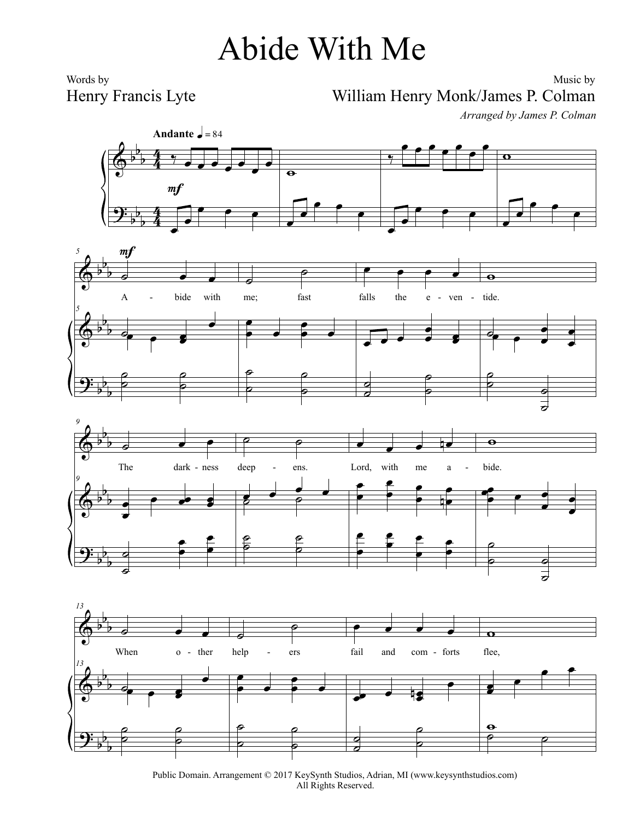## Abide With Me

Words by Henry Francis Lyte

## Music by William Henry Monk/James P. Colman

*Arranged by James P. Colman*









Public Domain. Arrangement © 2017 KeySynth Studios, Adrian, MI (www.keysynthstudios.com) All Rights Reserved.